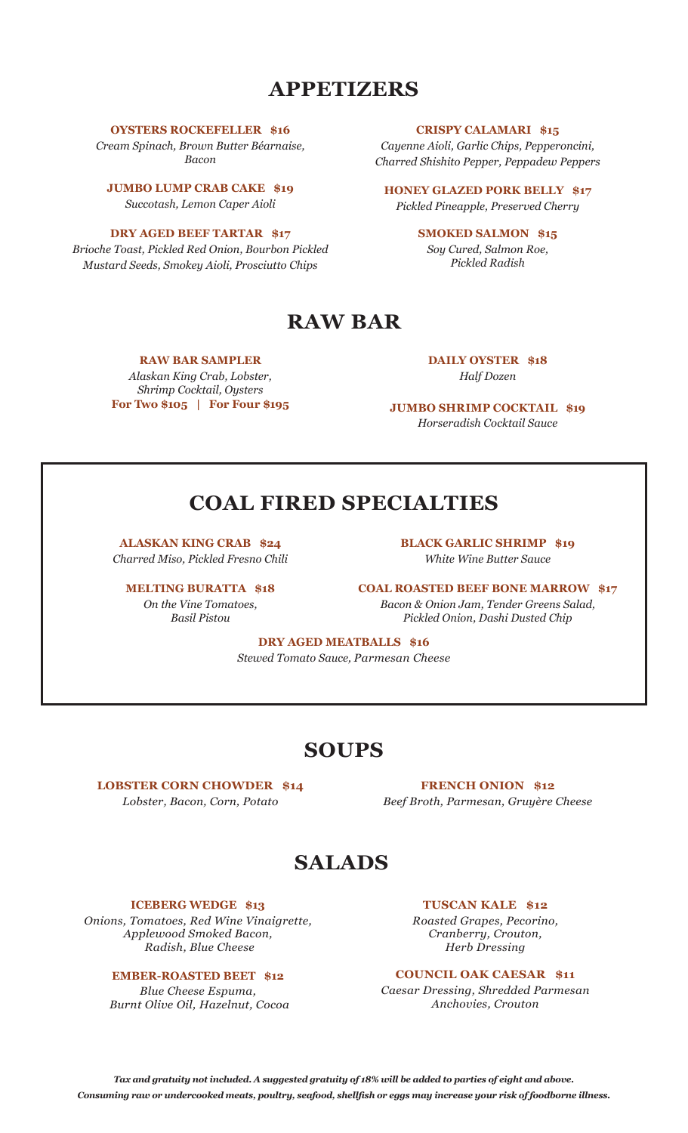### **APPETIZERS**

**OYSTERS ROCKEFELLER \$16**

*Cream Spinach, Brown Butter Béarnaise, Bacon* 

**JUMBO LUMP CRAB CAKE \$19** *Succotash, Lemon Caper Aioli* 

**DRY AGED BEEF TARTAR \$17** *Brioche Toast, Pickled Red Onion, Bourbon Pickled Mustard Seeds, Smokey Aioli, Prosciutto Chips*

**CRISPY CALAMARI \$15**

*Cayenne Aioli, Garlic Chips, Pepperoncini, Charred Shishito Pepper, Peppadew Peppers*

**HONEY GLAZED PORK BELLY \$17**  *Pickled Pineapple, Preserved Cherry*

> **SMOKED SALMON \$15** *Soy Cured, Salmon Roe, Pickled Radish*

# **RAW BAR**

### **RAW BAR SAMPLER**

*Alaskan King Crab, Lobster, Shrimp Cocktail, Oysters* **For Two \$105 | For Four \$195** **DAILY OYSTER \$18** *Half Dozen*

**JUMBO SHRIMP COCKTAIL \$19** *Horseradish Cocktail Sauce*

# **COAL FIRED SPECIALTIES**

**ALASKAN KING CRAB \$24** *Charred Miso, Pickled Fresno Chili*

**MELTING BURATTA \$18** *On the Vine Tomatoes, Basil Pistou*

**BLACK GARLIC SHRIMP \$19** *White Wine Butter Sauce*

**COAL ROASTED BEEF BONE MARROW \$17** *Bacon & Onion Jam, Tender Greens Salad, Pickled Onion, Dashi Dusted Chip*

**DRY AGED MEATBALLS \$16** *Stewed Tomato Sauce, Parmesan Cheese*

## **SOUPS**

**LOBSTER CORN CHOWDER \$14** *Lobster, Bacon, Corn, Potato* 

**FRENCH ONION \$12** *Beef Broth, Parmesan, Gruyère Cheese*

## **SALADS**

### **ICEBERG WEDGE \$13**

*Onions, Tomatoes, Red Wine Vinaigrette, Applewood Smoked Bacon, Radish, Blue Cheese*

### **EMBER-ROASTED BEET \$12**

*Blue Cheese Espuma, Burnt Olive Oil, Hazelnut, Cocoa* **TUSCAN KALE \$12** 

*Roasted Grapes, Pecorino, Cranberry, Crouton, Herb Dressing*

**COUNCIL OAK CAESAR \$11** 

*Caesar Dressing, Shredded Parmesan Anchovies, Crouton*